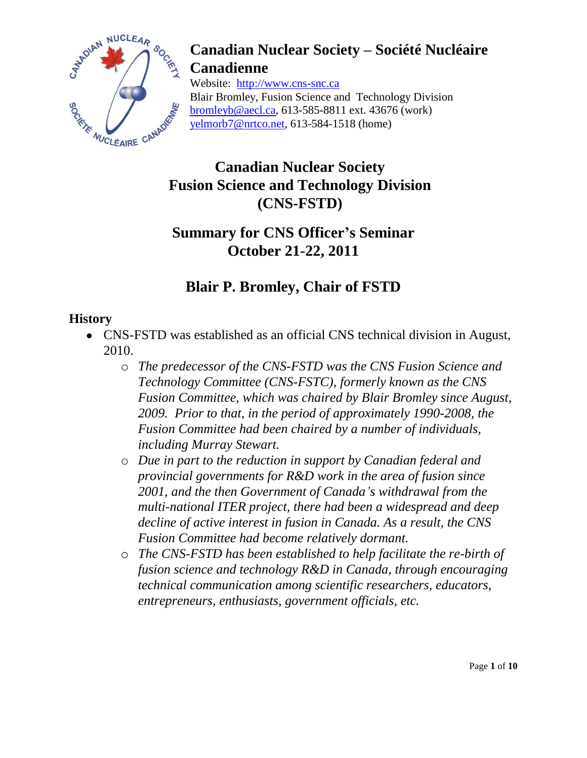

Website: http://www.cns-snc.ca Blair Bromley, Fusion Science and Technology Division bromleyb@aecl.ca, 613-585-8811 ext. 43676 (work) yelmorb7@nrtco.net, 613-584-1518 (home)

### **Canadian Nuclear Society Fusion Science and Technology Division (CNS-FSTD)**

### **Summary for CNS Officer's Seminar October 21-22, 2011**

### **Blair P. Bromley, Chair of FSTD**

### **History**

- CNS-FSTD was established as an official CNS technical division in August, 2010.
	- o *The predecessor of the CNS-FSTD was the CNS Fusion Science and Technology Committee (CNS-FSTC), formerly known as the CNS Fusion Committee, which was chaired by Blair Bromley since August, 2009. Prior to that, in the period of approximately 1990-2008, the Fusion Committee had been chaired by a number of individuals, including Murray Stewart.*
	- o *Due in part to the reduction in support by Canadian federal and provincial governments for R&D work in the area of fusion since 2001, and the then Government of Canada's withdrawal from the multi-national ITER project, there had been a widespread and deep decline of active interest in fusion in Canada. As a result, the CNS Fusion Committee had become relatively dormant.*
	- o *The CNS-FSTD has been established to help facilitate the re-birth of fusion science and technology R&D in Canada, through encouraging technical communication among scientific researchers, educators, entrepreneurs, enthusiasts, government officials, etc.*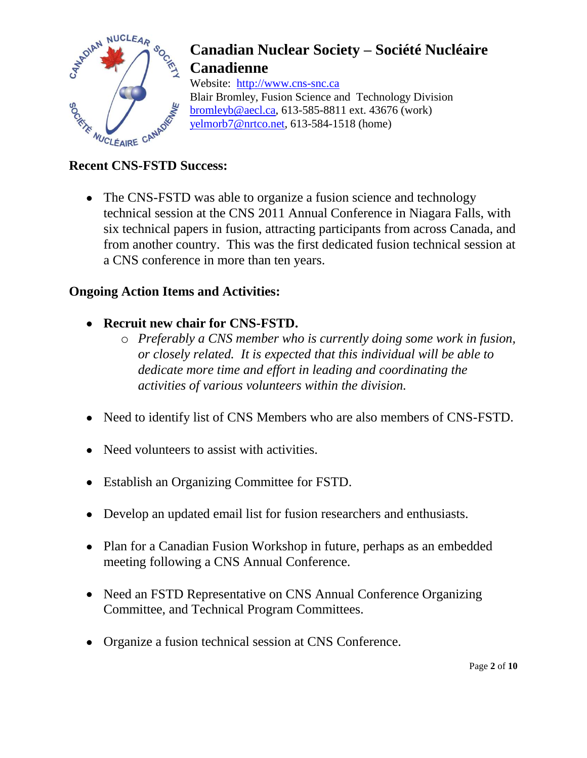

Website: http://www.cns-snc.ca Blair Bromley, Fusion Science and Technology Division bromleyb@aecl.ca, 613-585-8811 ext. 43676 (work) yelmorb7@nrtco.net, 613-584-1518 (home)

### **Recent CNS-FSTD Success:**

• The CNS-FSTD was able to organize a fusion science and technology technical session at the CNS 2011 Annual Conference in Niagara Falls, with six technical papers in fusion, attracting participants from across Canada, and from another country. This was the first dedicated fusion technical session at a CNS conference in more than ten years.

### **Ongoing Action Items and Activities:**

- **Recruit new chair for CNS-FSTD.**
	- o *Preferably a CNS member who is currently doing some work in fusion, or closely related. It is expected that this individual will be able to dedicate more time and effort in leading and coordinating the activities of various volunteers within the division.*
- Need to identify list of CNS Members who are also members of CNS-FSTD.
- Need volunteers to assist with activities.
- Establish an Organizing Committee for FSTD.
- Develop an updated email list for fusion researchers and enthusiasts.
- Plan for a Canadian Fusion Workshop in future, perhaps as an embedded meeting following a CNS Annual Conference.
- Need an FSTD Representative on CNS Annual Conference Organizing Committee, and Technical Program Committees.
- Organize a fusion technical session at CNS Conference.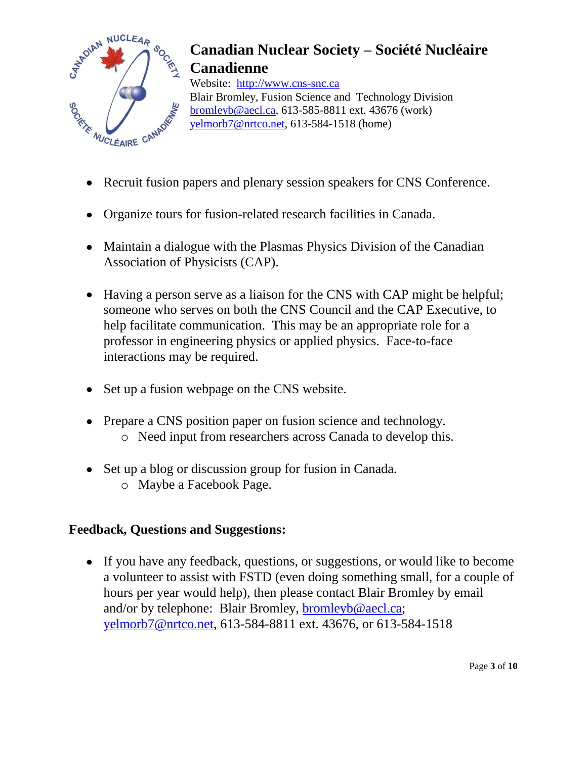

Website: http://www.cns-snc.ca Blair Bromley, Fusion Science and Technology Division bromleyb@aecl.ca, 613-585-8811 ext. 43676 (work) yelmorb7@nrtco.net, 613-584-1518 (home)

- Recruit fusion papers and plenary session speakers for CNS Conference.
- Organize tours for fusion-related research facilities in Canada.
- Maintain a dialogue with the Plasmas Physics Division of the Canadian Association of Physicists (CAP).
- Having a person serve as a liaison for the CNS with CAP might be helpful; someone who serves on both the CNS Council and the CAP Executive, to help facilitate communication. This may be an appropriate role for a professor in engineering physics or applied physics. Face-to-face interactions may be required.
- Set up a fusion webpage on the CNS website.
- Prepare a CNS position paper on fusion science and technology. o Need input from researchers across Canada to develop this.
- Set up a blog or discussion group for fusion in Canada. o Maybe a Facebook Page.

### **Feedback, Questions and Suggestions:**

If you have any feedback, questions, or suggestions, or would like to become a volunteer to assist with FSTD (even doing something small, for a couple of hours per year would help), then please contact Blair Bromley by email and/or by telephone: Blair Bromley, [bromleyb@aecl.ca;](mailto:bromleyb@aecl.ca) [yelmorb7@nrtco.net,](mailto:yelmorb7@nrtco.net) 613-584-8811 ext. 43676, or 613-584-1518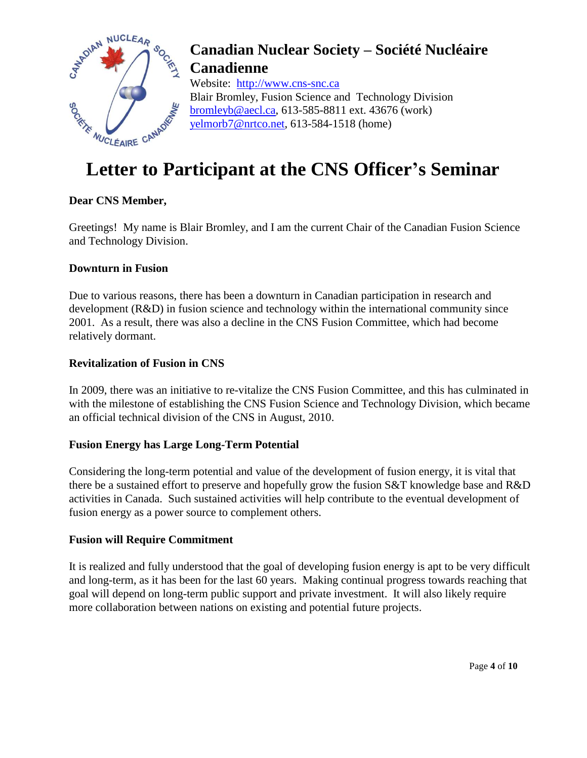

Website: http://www.cns-snc.ca Blair Bromley, Fusion Science and Technology Division bromleyb@aecl.ca, 613-585-8811 ext. 43676 (work) yelmorb7@nrtco.net, 613-584-1518 (home)

# **Letter to Participant at the CNS Officer's Seminar**

### **Dear CNS Member,**

Greetings! My name is Blair Bromley, and I am the current Chair of the Canadian Fusion Science and Technology Division.

### **Downturn in Fusion**

Due to various reasons, there has been a downturn in Canadian participation in research and development (R&D) in fusion science and technology within the international community since 2001. As a result, there was also a decline in the CNS Fusion Committee, which had become relatively dormant.

### **Revitalization of Fusion in CNS**

In 2009, there was an initiative to re-vitalize the CNS Fusion Committee, and this has culminated in with the milestone of establishing the CNS Fusion Science and Technology Division, which became an official technical division of the CNS in August, 2010.

#### **Fusion Energy has Large Long-Term Potential**

Considering the long-term potential and value of the development of fusion energy, it is vital that there be a sustained effort to preserve and hopefully grow the fusion S&T knowledge base and R&D activities in Canada. Such sustained activities will help contribute to the eventual development of fusion energy as a power source to complement others.

#### **Fusion will Require Commitment**

It is realized and fully understood that the goal of developing fusion energy is apt to be very difficult and long-term, as it has been for the last 60 years. Making continual progress towards reaching that goal will depend on long-term public support and private investment. It will also likely require more collaboration between nations on existing and potential future projects.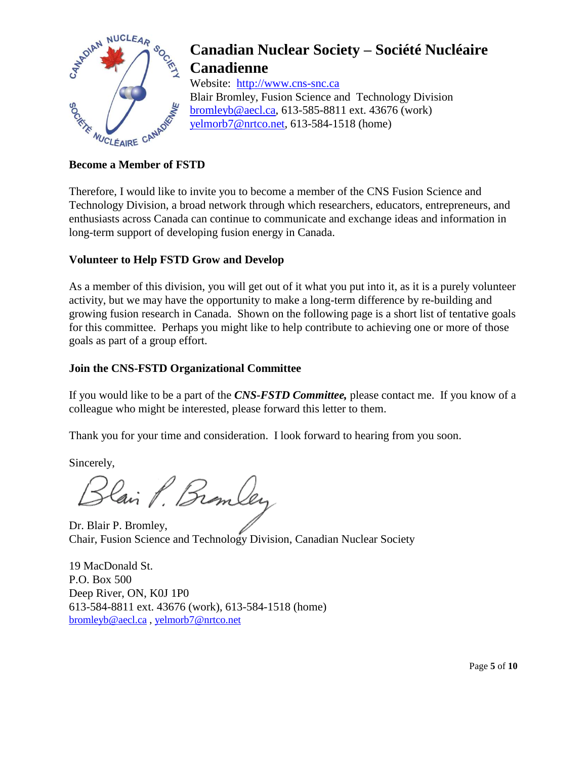

Website: http://www.cns-snc.ca Blair Bromley, Fusion Science and Technology Division bromleyb@aecl.ca, 613-585-8811 ext. 43676 (work) yelmorb7@nrtco.net, 613-584-1518 (home)

#### **Become a Member of FSTD**

Therefore, I would like to invite you to become a member of the CNS Fusion Science and Technology Division, a broad network through which researchers, educators, entrepreneurs, and enthusiasts across Canada can continue to communicate and exchange ideas and information in long-term support of developing fusion energy in Canada.

#### **Volunteer to Help FSTD Grow and Develop**

As a member of this division, you will get out of it what you put into it, as it is a purely volunteer activity, but we may have the opportunity to make a long-term difference by re-building and growing fusion research in Canada. Shown on the following page is a short list of tentative goals for this committee. Perhaps you might like to help contribute to achieving one or more of those goals as part of a group effort.

### **Join the CNS-FSTD Organizational Committee**

If you would like to be a part of the *CNS-FSTD Committee,* please contact me. If you know of a colleague who might be interested, please forward this letter to them.

Thank you for your time and consideration. I look forward to hearing from you soon.

Sincerely,<br>Blain P. Bramley

Dr. Blair P. Bromley, Chair, Fusion Science and Technology Division, Canadian Nuclear Society

19 MacDonald St. P.O. Box 500 Deep River, ON, K0J 1P0 613-584-8811 ext. 43676 (work), 613-584-1518 (home) [bromleyb@aecl.ca](mailto:bromleyb@aecl.ca) , [yelmorb7@nrtco.net](mailto:yelmorb7@nrtco.net)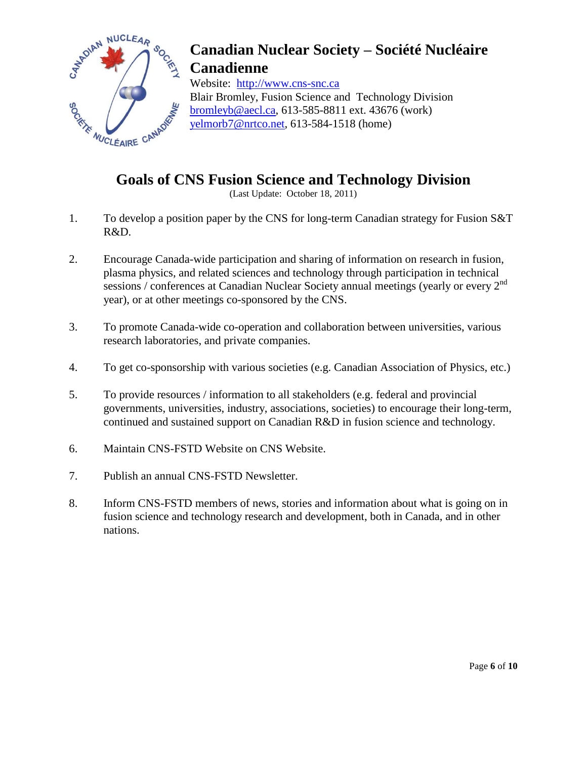

Website: http://www.cns-snc.ca Blair Bromley, Fusion Science and Technology Division bromleyb@aecl.ca, 613-585-8811 ext. 43676 (work) yelmorb7@nrtco.net, 613-584-1518 (home)

### **Goals of CNS Fusion Science and Technology Division**

(Last Update: October 18, 2011)

- 1. To develop a position paper by the CNS for long-term Canadian strategy for Fusion S&T R&D.
- 2. Encourage Canada-wide participation and sharing of information on research in fusion, plasma physics, and related sciences and technology through participation in technical sessions / conferences at Canadian Nuclear Society annual meetings (yearly or every 2<sup>nd</sup> year), or at other meetings co-sponsored by the CNS.
- 3. To promote Canada-wide co-operation and collaboration between universities, various research laboratories, and private companies.
- 4. To get co-sponsorship with various societies (e.g. Canadian Association of Physics, etc.)
- 5. To provide resources / information to all stakeholders (e.g. federal and provincial governments, universities, industry, associations, societies) to encourage their long-term, continued and sustained support on Canadian R&D in fusion science and technology.
- 6. Maintain CNS-FSTD Website on CNS Website.
- 7. Publish an annual CNS-FSTD Newsletter.
- 8. Inform CNS-FSTD members of news, stories and information about what is going on in fusion science and technology research and development, both in Canada, and in other nations.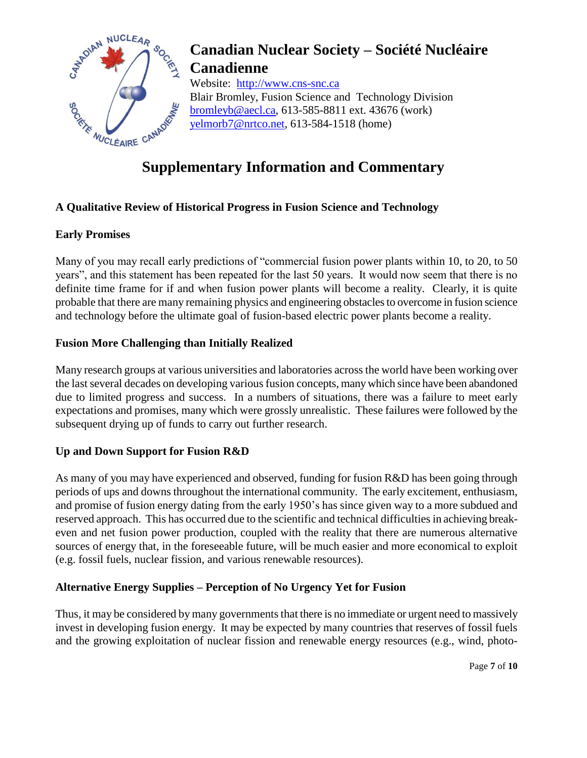

Website: http://www.cns-snc.ca Blair Bromley, Fusion Science and Technology Division bromleyb@aecl.ca, 613-585-8811 ext. 43676 (work) yelmorb7@nrtco.net, 613-584-1518 (home)

### **Supplementary Information and Commentary**

### **A Qualitative Review of Historical Progress in Fusion Science and Technology**

### **Early Promises**

Many of you may recall early predictions of "commercial fusion power plants within 10, to 20, to 50 years", and this statement has been repeated for the last 50 years. It would now seem that there is no definite time frame for if and when fusion power plants will become a reality. Clearly, it is quite probable that there are many remaining physics and engineering obstacles to overcome in fusion science and technology before the ultimate goal of fusion-based electric power plants become a reality.

### **Fusion More Challenging than Initially Realized**

Many research groups at various universities and laboratories across the world have been working over the last several decades on developing various fusion concepts, many which since have been abandoned due to limited progress and success. In a numbers of situations, there was a failure to meet early expectations and promises, many which were grossly unrealistic. These failures were followed by the subsequent drying up of funds to carry out further research.

### **Up and Down Support for Fusion R&D**

As many of you may have experienced and observed, funding for fusion R&D has been going through periods of ups and downs throughout the international community. The early excitement, enthusiasm, and promise of fusion energy dating from the early 1950's has since given way to a more subdued and reserved approach. This has occurred due to the scientific and technical difficulties in achieving breakeven and net fusion power production, coupled with the reality that there are numerous alternative sources of energy that, in the foreseeable future, will be much easier and more economical to exploit (e.g. fossil fuels, nuclear fission, and various renewable resources).

### **Alternative Energy Supplies – Perception of No Urgency Yet for Fusion**

Thus, it may be considered by many governments that there is no immediate or urgent need to massively invest in developing fusion energy. It may be expected by many countries that reserves of fossil fuels and the growing exploitation of nuclear fission and renewable energy resources (e.g., wind, photo-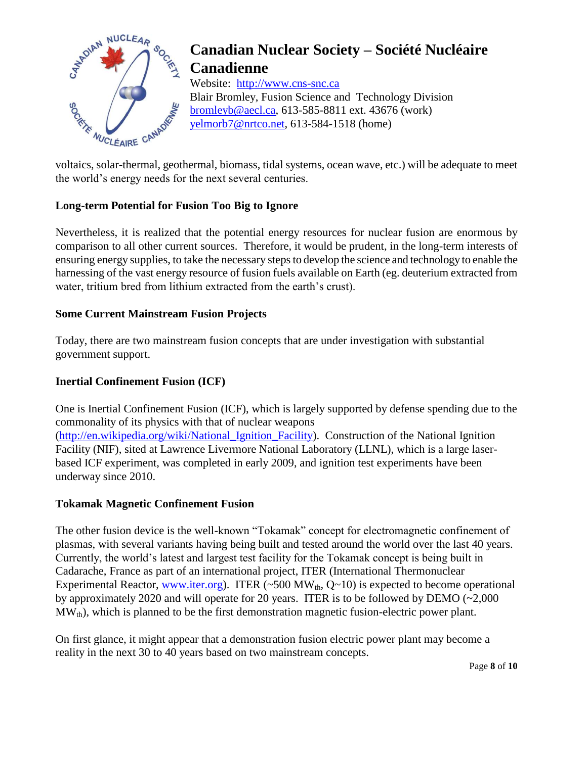

Website: http://www.cns-snc.ca Blair Bromley, Fusion Science and Technology Division bromleyb@aecl.ca, 613-585-8811 ext. 43676 (work) yelmorb7@nrtco.net, 613-584-1518 (home)

voltaics, solar-thermal, geothermal, biomass, tidal systems, ocean wave, etc.) will be adequate to meet the world's energy needs for the next several centuries.

### **Long-term Potential for Fusion Too Big to Ignore**

Nevertheless, it is realized that the potential energy resources for nuclear fusion are enormous by comparison to all other current sources. Therefore, it would be prudent, in the long-term interests of ensuring energy supplies, to take the necessary steps to develop the science and technology to enable the harnessing of the vast energy resource of fusion fuels available on Earth (eg. deuterium extracted from water, tritium bred from lithium extracted from the earth's crust).

#### **Some Current Mainstream Fusion Projects**

Today, there are two mainstream fusion concepts that are under investigation with substantial government support.

### **Inertial Confinement Fusion (ICF)**

One is Inertial Confinement Fusion (ICF), which is largely supported by defense spending due to the commonality of its physics with that of nuclear weapons

[\(http://en.wikipedia.org/wiki/National\\_Ignition\\_Facility\)](http://en.wikipedia.org/wiki/National_Ignition_Facility). Construction of the National Ignition Facility (NIF), sited at Lawrence Livermore National Laboratory (LLNL), which is a large laserbased ICF experiment, was completed in early 2009, and ignition test experiments have been underway since 2010.

#### **Tokamak Magnetic Confinement Fusion**

The other fusion device is the well-known "Tokamak" concept for electromagnetic confinement of plasmas, with several variants having being built and tested around the world over the last 40 years. Currently, the world's latest and largest test facility for the Tokamak concept is being built in Cadarache, France as part of an international project, ITER (International Thermonuclear Experimental Reactor, [www.iter.org\)](http://www.iter.org/). ITER  $(\sim 500 \text{ MW}_{th}, Q \sim 10)$  is expected to become operational by approximately 2020 and will operate for 20 years. ITER is to be followed by DEMO (~2,000  $MW_{th}$ , which is planned to be the first demonstration magnetic fusion-electric power plant.

On first glance, it might appear that a demonstration fusion electric power plant may become a reality in the next 30 to 40 years based on two mainstream concepts.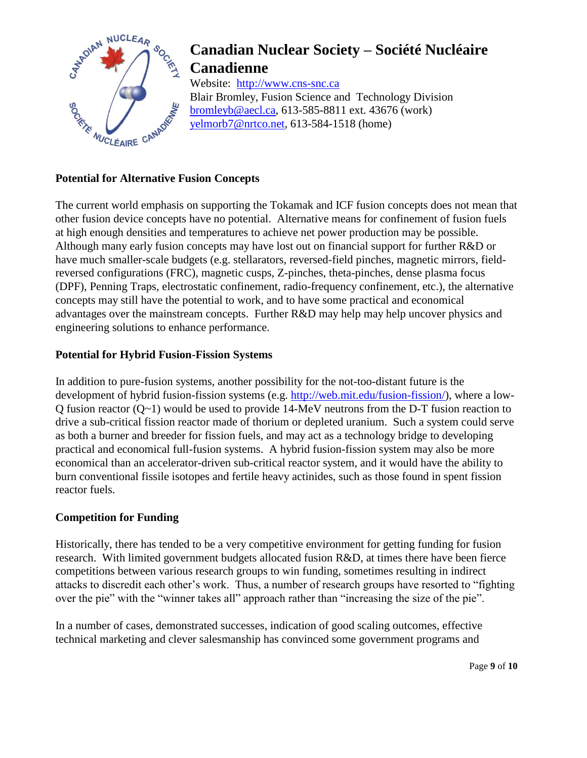

Website: http://www.cns-snc.ca Blair Bromley, Fusion Science and Technology Division bromleyb@aecl.ca, 613-585-8811 ext. 43676 (work) yelmorb7@nrtco.net, 613-584-1518 (home)

### **Potential for Alternative Fusion Concepts**

The current world emphasis on supporting the Tokamak and ICF fusion concepts does not mean that other fusion device concepts have no potential. Alternative means for confinement of fusion fuels at high enough densities and temperatures to achieve net power production may be possible. Although many early fusion concepts may have lost out on financial support for further R&D or have much smaller-scale budgets (e.g. stellarators, reversed-field pinches, magnetic mirrors, fieldreversed configurations (FRC), magnetic cusps, Z-pinches, theta-pinches, dense plasma focus (DPF), Penning Traps, electrostatic confinement, radio-frequency confinement, etc.), the alternative concepts may still have the potential to work, and to have some practical and economical advantages over the mainstream concepts. Further R&D may help may help uncover physics and engineering solutions to enhance performance.

#### **Potential for Hybrid Fusion-Fission Systems**

In addition to pure-fusion systems, another possibility for the not-too-distant future is the development of hybrid fusion-fission systems (e.g. [http://web.mit.edu/fusion-fission/\)](http://web.mit.edu/fusion-fission/), where a low-Q fusion reactor (Q~1) would be used to provide 14-MeV neutrons from the D-T fusion reaction to drive a sub-critical fission reactor made of thorium or depleted uranium. Such a system could serve as both a burner and breeder for fission fuels, and may act as a technology bridge to developing practical and economical full-fusion systems. A hybrid fusion-fission system may also be more economical than an accelerator-driven sub-critical reactor system, and it would have the ability to burn conventional fissile isotopes and fertile heavy actinides, such as those found in spent fission reactor fuels.

#### **Competition for Funding**

Historically, there has tended to be a very competitive environment for getting funding for fusion research. With limited government budgets allocated fusion R&D, at times there have been fierce competitions between various research groups to win funding, sometimes resulting in indirect attacks to discredit each other's work. Thus, a number of research groups have resorted to "fighting over the pie" with the "winner takes all" approach rather than "increasing the size of the pie".

In a number of cases, demonstrated successes, indication of good scaling outcomes, effective technical marketing and clever salesmanship has convinced some government programs and